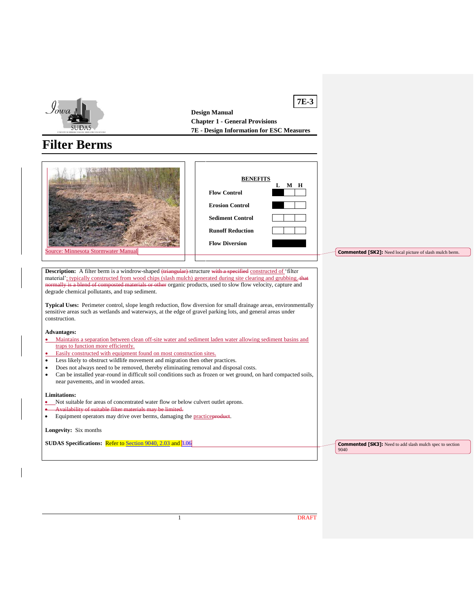

**Design Manual Chapter 1 - General Provisions 7E - Design Information for ESC Measures**

**7E-3**

# **Filter Berms**

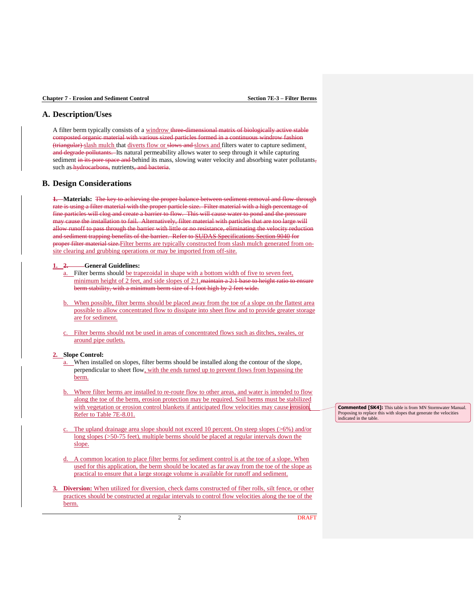# **A. Description/Uses**

A filter berm typically consists of a windrow three-dimensional matrix of biologically active stable composted organic material with various sized particles formed in a continuous windrow fashion (triangular) slash mulch that diverts flow or slows and slows and filters water to capture sediment. and degrade pollutants. Its natural permeability allows water to seep through it while capturing sediment in its pore space and behind its mass, slowing water velocity and absorbing water pollutants, such as hydrocarbons, nutrients, and bacteria.

# **B. Design Considerations**

**1. Materials:** The key to achieving the proper balance between sediment removal and flow-through rate is using a filter material with the proper particle size. Filter material with a high percentage of fine particles will clog and create a barrier to flow. This will cause water to pond and the pressure may cause the installation to fail. Alternatively, filter material with particles that are too large will allow runoff to pass through the barrier with little or no resistance, eliminating the velocity reduction and sediment trapping benefits of the barrier. Refer to SUDAS Specifications Section 9040 for proper filter material size.Filter berms are typically constructed from slash mulch generated from onsite clearing and grubbing operations or may be imported from off-site.

#### **1. 2. General Guidelines:**

- a. Filter berms should be trapezoidal in shape with a bottom width of five to seven feet, minimum height of 2 feet, and side slopes of 2:1. maintain a 2:1 base to height ratio to ensure berm stability, with a minimum berm size of 1 foot high by 2 feet wide.
- b. When possible, filter berms should be placed away from the toe of a slope on the flattest area possible to allow concentrated flow to dissipate into sheet flow and to provide greater storage are for sediment.
- Filter berms should not be used in areas of concentrated flows such as ditches, swales, or around pipe outlets.

#### **2. Slope Control:**

- a. When installed on slopes, filter berms should be installed along the contour of the slope, perpendicular to sheet flow, with the ends turned up to prevent flows from bypassing the berm.
- Where filter berms are installed to re-route flow to other areas, and water is intended to flow along the toe of the berm, erosion protection may be required. Soil berms must be stabilized with vegetation or erosion control blankets if anticipated flow velocities may cause erosion. Refer to Table 7E-8.01.
- c. The upland drainage area slope should not exceed 10 percent. On steep slopes (>6%) and/or long slopes (>50-75 feet), multiple berms should be placed at regular intervals down the slope.
- d. A common location to place filter berms for sediment control is at the toe of a slope. When used for this application, the berm should be located as far away from the toe of the slope as practical to ensure that a large storage volume is available for runoff and sediment.
- **3. Diversion:** When utilized for diversion, check dams constructed of fiber rolls, silt fence, or other practices should be constructed at regular intervals to control flow velocities along the toe of the berm.

**Commented [SK4]:** This table is from MN Stormwater Manual. Proposing to replace this with slopes that generate the velocities indicated in the table.